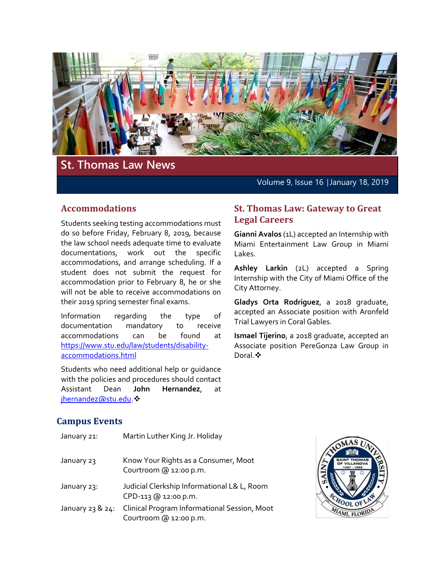

# **St. Thomas Law News**

Volume 9, Issue 16 │January 18, 2019

### **Accommodations**

Students seeking testing accommodations must do so before Friday, February 8, 2019, because the law school needs adequate time to evaluate documentations, work out the specific accommodations, and arrange scheduling. If a student does not submit the request for accommodation prior to February 8, he or she will not be able to receive accommodations on their 2019 spring semester final exams.

Information regarding the type of documentation mandatory to receive accommodations can be found at [https://www.stu.edu/law/students/disability](https://www.stu.edu/law/students/disability-accommodations.html)[accommodations.html](https://www.stu.edu/law/students/disability-accommodations.html)

Students who need additional help or guidance with the policies and procedures should contact Assistant Dean **John Hernandez**, at ihernandez@stu.edu ❖

#### **St. Thomas Law: Gateway to Great Legal Careers**

**Gianni Avalos** (1L) accepted an Internship with Miami Entertainment Law Group in Miami Lakes.

**Ashley Larkin** (2L) accepted a Spring Internship with the City of Miami Office of the City Attorney.

**Gladys Orta Rodriguez**, a 2018 graduate, accepted an Associate position with Aronfeld Trial Lawyers in Coral Gables.

**Ismael Tijerino**, a 2018 graduate, accepted an Associate position PereGonza Law Group in Doral. ❖

### **Campus Events**

| January 21:      | Martin Luther King Jr. Holiday                                         |
|------------------|------------------------------------------------------------------------|
| January 23       | Know Your Rights as a Consumer, Moot<br>Courtroom @ 12:00 p.m.         |
| January 23:      | Judicial Clerkship Informational L& L, Room<br>CPD-113 @ 12:00 p.m.    |
| January 23 & 24: | Clinical Program Informational Session, Moot<br>Courtroom @ 12:00 p.m. |

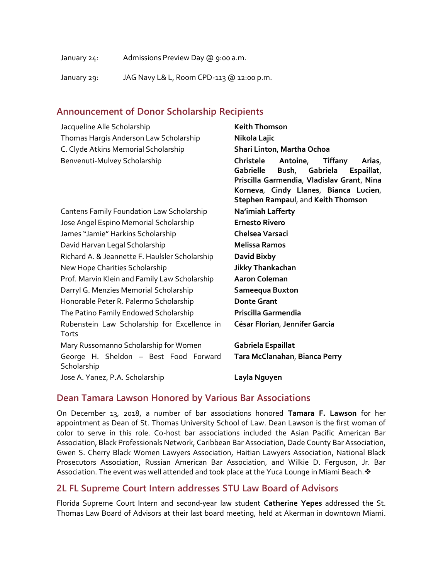| January 24: | Admissions Preview Day @ 9:00 a.m.       |
|-------------|------------------------------------------|
| January 29: | JAG Navy L& L, Room CPD-113 @ 12:00 p.m. |

### **Announcement of Donor Scholarship Recipients**

| Jacqueline Alle Scholarship                    | <b>Keith Thomson</b>                              |
|------------------------------------------------|---------------------------------------------------|
| Thomas Hargis Anderson Law Scholarship         | Nikola Lajic                                      |
| C. Clyde Atkins Memorial Scholarship           | Shari Linton, Martha Ochoa                        |
| Benvenuti-Mulvey Scholarship                   | Christele<br>Antoine,<br><b>Tiffany</b><br>Arias, |
|                                                | <b>Gabrielle</b><br>Bush, Gabriela<br>Espaillat,  |
|                                                | Priscilla Garmendia, Vladislav Grant, Nina        |
|                                                | Korneva, Cindy Llanes, Bianca Lucien,             |
|                                                | <b>Stephen Rampaul, and Keith Thomson</b>         |
| Cantens Family Foundation Law Scholarship      | Na'imiah Lafferty                                 |
| Jose Angel Espino Memorial Scholarship         | <b>Ernesto Rivero</b>                             |
| James "Jamie" Harkins Scholarship              | Chelsea Varsaci                                   |
| David Harvan Legal Scholarship                 | <b>Melissa Ramos</b>                              |
| Richard A. & Jeannette F. Haulsler Scholarship | David Bixby                                       |
| New Hope Charities Scholarship                 | <b>Jikky Thankachan</b>                           |
| Prof. Marvin Klein and Family Law Scholarship  | <b>Aaron Coleman</b>                              |
| Darryl G. Menzies Memorial Scholarship         | Sameequa Buxton                                   |
| Honorable Peter R. Palermo Scholarship         | <b>Donte Grant</b>                                |
| The Patino Family Endowed Scholarship          | Priscilla Garmendia                               |
| Rubenstein Law Scholarship for Excellence in   | César Florian, Jennifer Garcia                    |
| Torts                                          |                                                   |
| Mary Russomanno Scholarship for Women          | Gabriela Espaillat                                |
| George H. Sheldon - Best Food Forward          | Tara McClanahan, Bianca Perry                     |
| Scholarship                                    |                                                   |
| Jose A. Yanez, P.A. Scholarship                | Layla Nguyen                                      |

#### **Dean Tamara Lawson Honored by Various Bar Associations**

On December 13, 2018, a number of bar associations honored **Tamara F. Lawson** for her appointment as Dean of St. Thomas University School of Law. Dean Lawson is the first woman of color to serve in this role. Co-host bar associations included the Asian Pacific American Bar Association, Black Professionals Network, Caribbean Bar Association, Dade County Bar Association, Gwen S. Cherry Black Women Lawyers Association, Haitian Lawyers Association, National Black Prosecutors Association, Russian American Bar Association, and Wilkie D. Ferguson, Jr. Bar Association. The event was well attended and took place at the Yuca Lounge in Miami Beach.  $\cdot$ 

### **2L FL Supreme Court Intern addresses STU Law Board of Advisors**

Florida Supreme Court Intern and second-year law student **Catherine Yepes** addressed the St. Thomas Law Board of Advisors at their last board meeting, held at Akerman in downtown Miami.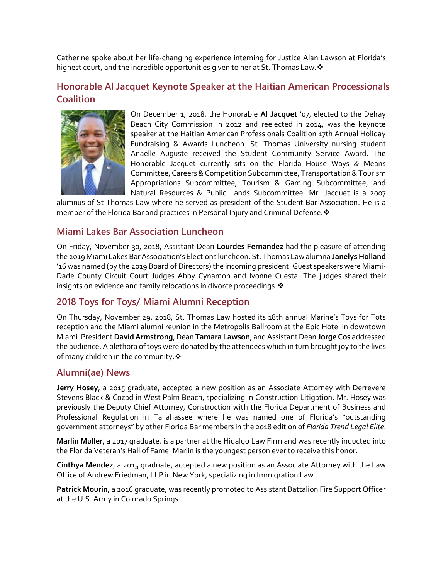Catherine spoke about her life-changing experience interning for Justice Alan Lawson at Florida's highest court, and the incredible opportunities given to her at St. Thomas Law.  $\cdot$ 

## **Honorable Al Jacquet Keynote Speaker at the Haitian American Processionals Coalition**



On December 1, 2018, the Honorable **Al Jacquet** '07, elected to the Delray Beach City Commission in 2012 and reelected in 2014, was the keynote speaker at the Haitian American Professionals Coalition 17th Annual Holiday Fundraising & Awards Luncheon. St. Thomas University nursing student Anaelle Auguste received the Student Community Service Award. The Honorable Jacquet currently sits on the Florida House Ways & Means Committee, Careers & Competition Subcommittee, Transportation & Tourism Appropriations Subcommittee, Tourism & Gaming Subcommittee, and Natural Resources & Public Lands Subcommittee. Mr. Jacquet is a 2007

alumnus of St Thomas Law where he served as president of the Student Bar Association. He is a member of the Florida Bar and practices in Personal Injury and Criminal Defense. ❖

#### **Miami Lakes Bar Association Luncheon**

On Friday, November 30, 2018, Assistant Dean **Lourdes Fernandez** had the pleasure of attending the 2019 Miami Lakes Bar Association's Elections luncheon. St. Thomas Law alumna **Janelys Holland** '16 was named (by the 2019 Board of Directors) the incoming president. Guest speakers were Miami-Dade County Circuit Court Judges Abby Cynamon and Ivonne Cuesta. The judges shared their insights on evidence and family relocations in divorce proceedings. \*

## **2018 Toys for Toys/ Miami Alumni Reception**

On Thursday, November 29, 2018, St. Thomas Law hosted its 18th annual Marine's Toys for Tots reception and the Miami alumni reunion in the Metropolis Ballroom at the Epic Hotel in downtown Miami. President **David Armstrong**, Dean **Tamara Lawson**, and AssistantDean **Jorge Cos** addressed the audience. A plethora of toys were donated by the attendees which in turn brought joy to the lives of many children in the community. $\clubsuit$ 

### **Alumni(ae) News**

**Jerry Hosey**, a 2015 graduate, accepted a new position as an Associate Attorney with Derrevere Stevens Black & Cozad in West Palm Beach, specializing in Construction Litigation. Mr. Hosey was previously the Deputy Chief Attorney, Construction with the Florida Department of Business and Professional Regulation in Tallahassee where he was named one of Florida's "outstanding government attorneys" by other Florida Bar members in the 2018 edition of *Florida Trend Legal Elite*.

**Marlin Muller**, a 2017 graduate, is a partner at the Hidalgo Law Firm and was recently inducted into the Florida Veteran's Hall of Fame. Marlin is the youngest person ever to receive this honor.

**Cinthya Mendez**, a 2015 graduate, accepted a new position as an Associate Attorney with the Law Office of Andrew Friedman, LLP in New York, specializing in Immigration Law.

**Patrick Mourin**, a 2016 graduate, was recently promoted to Assistant Battalion Fire Support Officer at the U.S. Army in Colorado Springs.